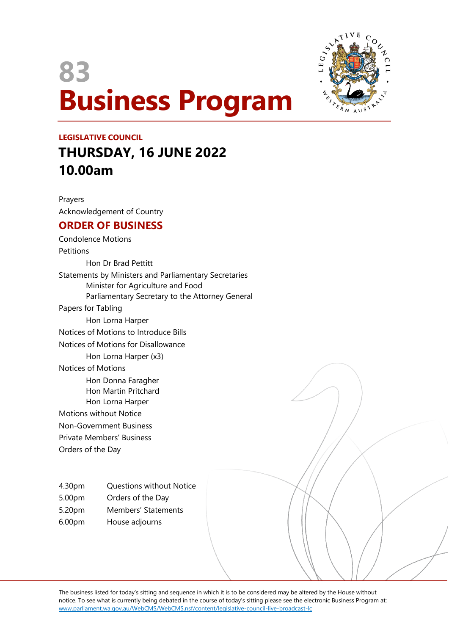



# **LEGISLATIVE COUNCIL THURSDAY, 16 JUNE 2022 10.00am**

Prayers Acknowledgement of Country

# **ORDER OF BUSINESS**

Condolence Motions **Petitions** Hon Dr Brad Pettitt Statements by Ministers and Parliamentary Secretaries Minister for Agriculture and Food Parliamentary Secretary to the Attorney General Papers for Tabling Hon Lorna Harper Notices of Motions to Introduce Bills Notices of Motions for Disallowance Hon Lorna Harper (x3) Notices of Motions Hon Donna Faragher Hon Martin Pritchard Hon Lorna Harper Motions without Notice Non-Government Business Private Members' Business Orders of the Day

4.30pm Questions without Notice

5.00pm Orders of the Day

5.20pm Members' Statements

6.00pm House adjourns

The business listed for today's sitting and sequence in which it is to be considered may be altered by the House without notice. To see what is currently being debated in the course of today's sitting please see the electronic Business Program at: www.parliament.wa.gov.au/WebCMS/WebCMS.nsf/content/legislative-council-live-broadcast-lc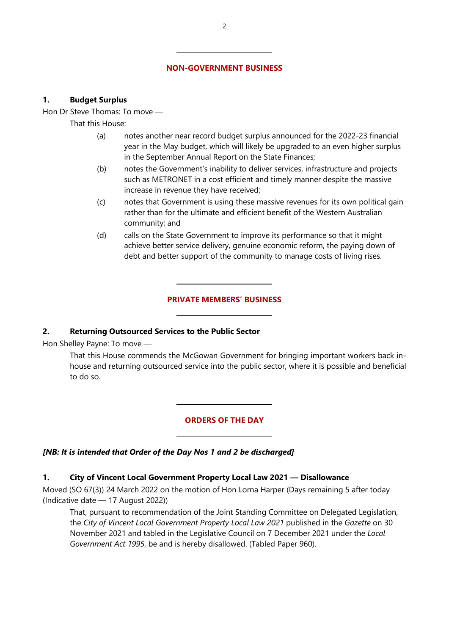#### **NON-GOVERNMENT BUSINESS**

 $\overline{a}$ 

 $\overline{a}$ 

## **1. Budget Surplus**

Hon Dr Steve Thomas: To move —

That this House:

- (a) notes another near record budget surplus announced for the 2022-23 financial year in the May budget, which will likely be upgraded to an even higher surplus in the September Annual Report on the State Finances;
- (b) notes the Government's inability to deliver services, infrastructure and projects such as METRONET in a cost efficient and timely manner despite the massive increase in revenue they have received;
- (c) notes that Government is using these massive revenues for its own political gain rather than for the ultimate and efficient benefit of the Western Australian community; and
- (d) calls on the State Government to improve its performance so that it might achieve better service delivery, genuine economic reform, the paying down of debt and better support of the community to manage costs of living rises.

#### **PRIVATE MEMBERS' BUSINESS**

#### **2. Returning Outsourced Services to the Public Sector**

 $\overline{a}$ 

 $\overline{a}$ 

 $\overline{a}$ 

 $\overline{a}$ 

Hon Shelley Payne: To move —

That this House commends the McGowan Government for bringing important workers back inhouse and returning outsourced service into the public sector, where it is possible and beneficial to do so.

#### **ORDERS OF THE DAY**

#### *[NB: It is intended that Order of the Day Nos 1 and 2 be discharged]*

## **1. City of Vincent Local Government Property Local Law 2021 — Disallowance**

Moved (SO 67(3)) 24 March 2022 on the motion of Hon Lorna Harper (Days remaining 5 after today (Indicative date — 17 August 2022))

That, pursuant to recommendation of the Joint Standing Committee on Delegated Legislation, the *City of Vincent Local Government Property Local Law 2021* published in the *Gazette* on 30 November 2021 and tabled in the Legislative Council on 7 December 2021 under the *Local Government Act 1995*, be and is hereby disallowed. (Tabled Paper 960).